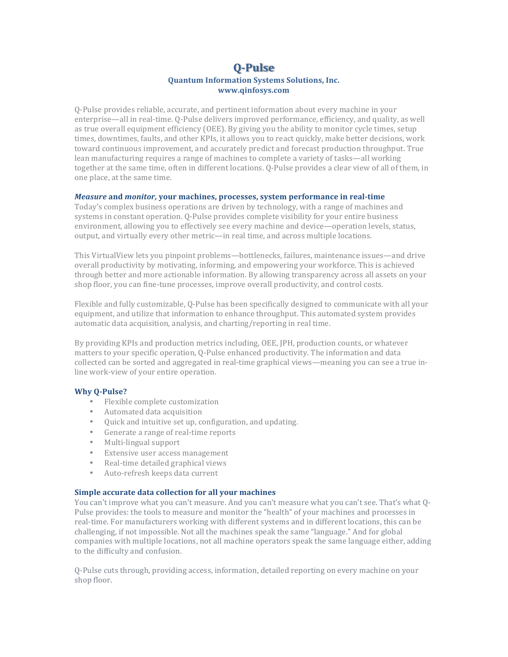# **Q-Pulse Quantum Information Systems Solutions, Inc. www.qinfosys.com**

O-Pulse provides reliable, accurate, and pertinent information about every machine in your enterprise—all in real-time. Q-Pulse delivers improved performance, efficiency, and quality, as well as true overall equipment efficiency (OEE). By giving you the ability to monitor cycle times, setup times, downtimes, faults, and other KPIs, it allows you to react quickly, make better decisions, work toward continuous improvement, and accurately predict and forecast production throughput. True lean manufacturing requires a range of machines to complete a variety of tasks—all working together at the same time, often in different locations. Q-Pulse provides a clear view of all of them, in one place, at the same time.

### *Measure* and *monitor*, your machines, processes, system performance in real-time

Today's complex business operations are driven by technology, with a range of machines and systems in constant operation. O-Pulse provides complete visibility for your entire business environment, allowing you to effectively see every machine and device—operation levels, status, output, and virtually every other metric—in real time, and across multiple locations.

This VirtualView lets you pinpoint problems—bottlenecks, failures, maintenance issues—and drive overall productivity by motivating, informing, and empowering your workforce. This is achieved through better and more actionable information. By allowing transparency across all assets on your shop floor, you can fine-tune processes, improve overall productivity, and control costs.

Flexible and fully customizable, Q-Pulse has been specifically designed to communicate with all your equipment, and utilize that information to enhance throughput. This automated system provides automatic data acquisition, analysis, and charting/reporting in real time.

By providing KPIs and production metrics including, OEE, JPH, production counts, or whatever matters to your specific operation, Q-Pulse enhanced productivity. The information and data collected can be sorted and aggregated in real-time graphical views—meaning you can see a true inline work-view of your entire operation.

## **Why Q-Pulse?**

- Flexible complete customization
- Automated data acquisition
- Quick and intuitive set up, configuration, and updating.
- Generate a range of real-time reports
- Multi-lingual support
- Extensive user access management
- Real-time detailed graphical views
- Auto-refresh keeps data current

## **Simple accurate data collection for all your machines**

You can't improve what you can't measure. And you can't measure what you can't see. That's what Q-Pulse provides: the tools to measure and monitor the "health" of your machines and processes in real-time. For manufacturers working with different systems and in different locations, this can be challenging, if not impossible. Not all the machines speak the same "language." And for global companies with multiple locations, not all machine operators speak the same language either, adding to the difficulty and confusion.

Q-Pulse cuts through, providing access, information, detailed reporting on every machine on your shop floor.